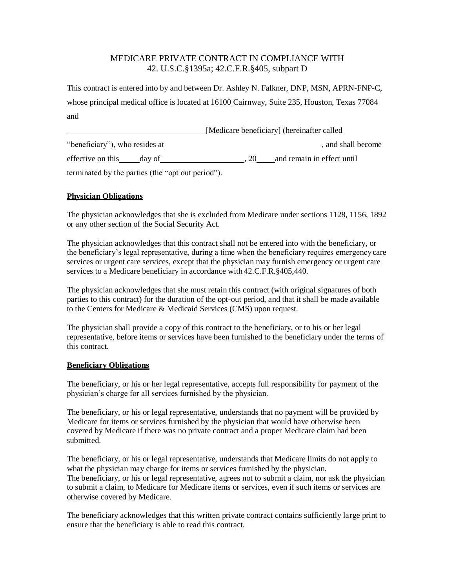## MEDICARE PRIVATE CONTRACT IN COMPLIANCE WITH 42. U.S.C.§1395a; 42.C.F.R.§405, subpart D

This contract is entered into by and between Dr. Ashley N. Falkner, DNP, MSN, APRN-FNP-C, whose principal medical office is located at 16100 Cairnway, Suite 235, Houston, Texas 77084 and

|                                                   | [Medicare beneficiary] (hereinafter called |
|---------------------------------------------------|--------------------------------------------|
| "beneficiary"), who resides at                    | and shall become                           |
| effective on this<br>day of                       | and remain in effect until<br>.20          |
| terminated by the parties (the "opt out period"). |                                            |

## **Physician Obligations**

The physician acknowledges that she is excluded from Medicare under sections 1128, 1156, 1892 or any other section of the Social Security Act.

The physician acknowledges that this contract shall not be entered into with the beneficiary, or the beneficiary's legal representative, during a time when the beneficiary requires emergency care services or urgent care services, except that the physician may furnish emergency or urgent care services to a Medicare beneficiary in accordance with 42.C.F.R.§405,440.

The physician acknowledges that she must retain this contract (with original signatures of both parties to this contract) for the duration of the opt-out period, and that it shall be made available to the Centers for Medicare & Medicaid Services (CMS) upon request.

The physician shall provide a copy of this contract to the beneficiary, or to his or her legal representative, before items or services have been furnished to the beneficiary under the terms of this contract.

## **Beneficiary Obligations**

The beneficiary, or his or her legal representative, accepts full responsibility for payment of the physician's charge for all services furnished by the physician.

The beneficiary, or his or legal representative, understands that no payment will be provided by Medicare for items or services furnished by the physician that would have otherwise been covered by Medicare if there was no private contract and a proper Medicare claim had been submitted.

The beneficiary, or his or legal representative, understands that Medicare limits do not apply to what the physician may charge for items or services furnished by the physician. The beneficiary, or his or legal representative, agrees not to submit a claim, nor ask the physician to submit a claim, to Medicare for Medicare items or services, even if such items or services are otherwise covered by Medicare.

The beneficiary acknowledges that this written private contract contains sufficiently large print to ensure that the beneficiary is able to read this contract.